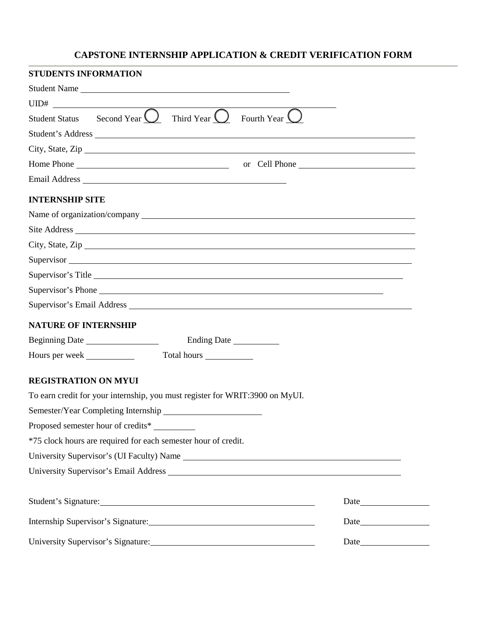# **CAPSTONE INTERNSHIP APPLICATION & CREDIT VERIFICATION FORM**

| <b>STUDENTS INFORMATION</b>                                                        |                    |  |
|------------------------------------------------------------------------------------|--------------------|--|
| Student Name                                                                       |                    |  |
|                                                                                    |                    |  |
| Student Status Second Year $\bigcirc$ Third Year $\bigcirc$ Fourth Year $\bigcirc$ |                    |  |
| Student's Address                                                                  |                    |  |
|                                                                                    | City, State, Zip   |  |
|                                                                                    | or Cell Phone      |  |
|                                                                                    |                    |  |
| <b>INTERNSHIP SITE</b>                                                             |                    |  |
|                                                                                    |                    |  |
|                                                                                    |                    |  |
|                                                                                    |                    |  |
|                                                                                    | Supervisor         |  |
|                                                                                    | Supervisor's Title |  |
|                                                                                    | Supervisor's Phone |  |
|                                                                                    |                    |  |
| <b>NATURE OF INTERNSHIP</b>                                                        |                    |  |
|                                                                                    | Ending Date        |  |
| Hours per week Total hours                                                         |                    |  |
| <b>REGISTRATION ON MYUI</b>                                                        |                    |  |
| To earn credit for your internship, you must register for WRIT:3900 on MyUI.       |                    |  |
|                                                                                    |                    |  |
| Proposed semester hour of credits*                                                 |                    |  |
| *75 clock hours are required for each semester hour of credit.                     |                    |  |
|                                                                                    |                    |  |
|                                                                                    |                    |  |
|                                                                                    |                    |  |
| Student's Signature:                                                               |                    |  |
| Internship Supervisor's Signature:                                                 |                    |  |
|                                                                                    | Date               |  |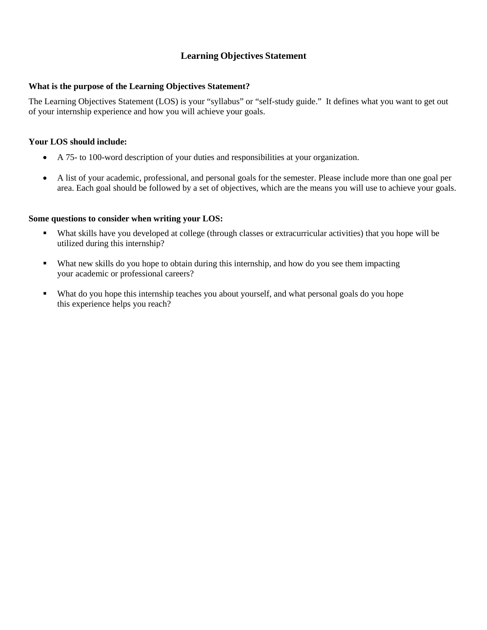# **Learning Objectives Statement**

#### **What is the purpose of the Learning Objectives Statement?**

The Learning Objectives Statement (LOS) is your "syllabus" or "self-study guide." It defines what you want to get out of your internship experience and how you will achieve your goals.

## **Your LOS should include:**

- A 75- to 100-word description of your duties and responsibilities at your organization.
- A list of your academic, professional, and personal goals for the semester. Please include more than one goal per area. Each goal should be followed by a set of objectives, which are the means you will use to achieve your goals.

## **Some questions to consider when writing your LOS:**

- What skills have you developed at college (through classes or extracurricular activities) that you hope will be utilized during this internship?
- What new skills do you hope to obtain during this internship, and how do you see them impacting your academic or professional careers?
- What do you hope this internship teaches you about yourself, and what personal goals do you hope this experience helps you reach?